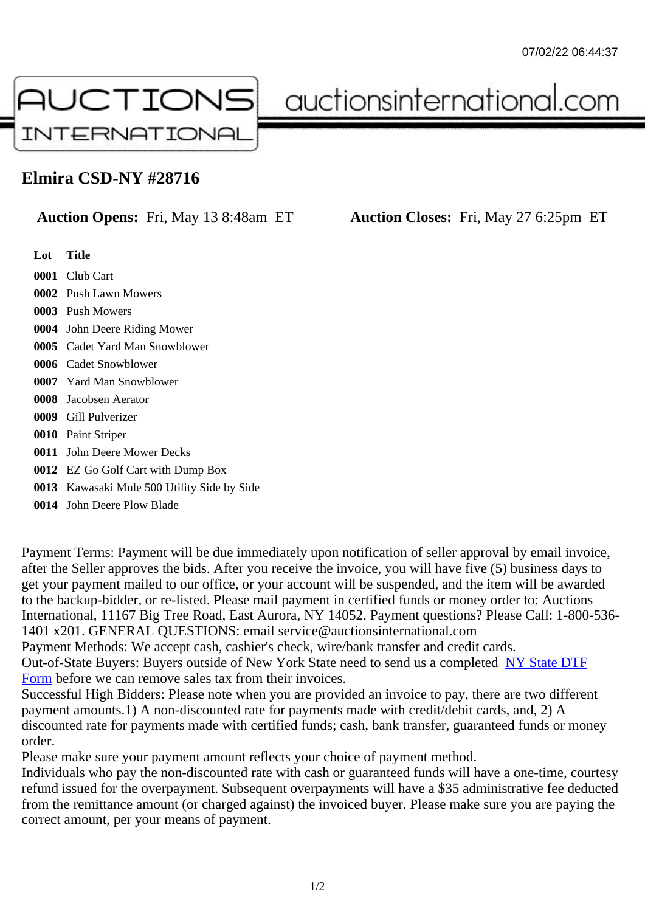## Elmira CSD-NY #28716

## Auction Opens: Fri, May 13 8:48am ET Auction Closes: Fri, May 27 6:25pm ET

Lot Title Club Cart Push Lawn Mowers Push Mowers John Deere Riding Mower Cadet Yard Man Snowblower Cadet Snowblower Yard Man Snowblower Jacobsen Aerator Gill Pulverizer Paint Striper John Deere Mower Decks EZ Go Golf Cart with Dump Box Kawasaki Mule 500 Utility Side by Side John Deere Plow Blade

Payment Terms: Payment will be due immediately upon notification of seller approval by email invoice, after the Seller approves the bids. After you receive the invoice, you will have five (5) business days to get your payment mailed to our office, or your account will be suspended, and the item will be awarded to the backup-bidder, or re-listed. Please mail payment in certified funds or money order to: Auctions

International, 11167 Big Tree Road, East Aurora, NY 14052. Payment questions? Please Call: 1-800-53 1401 x201. GENERAL QUESTIONS: email service@auctionsinternational.com

Payment Methods: We accept cash, cashier's check, wire/bank transfer and credit cards.

Out-of-State Buyers: Buyers outside of New York State need to send us a complered NTF Form before we can remove sales tax from their invoices.

Successful High Bidders: Please note when you are provided an invoice to pay, there are two different payment amounts.1) A non-discounted rate for payments made with credit/de[bit cards, and](https://www.auctionsinternational.com/auxiliary/downloads/DTF_Form/dtf_fill_in.pdf), 2) A [disco](https://www.auctionsinternational.com/auxiliary/downloads/DTF_Form/dtf_fill_in.pdf)unted rate for payments made with certified funds; cash, bank transfer, guaranteed funds or mone order.

Please make sure your payment amount reflects your choice of payment method.

Individuals who pay the non-discounted rate with cash or guaranteed funds will have a one-time, courte refund issued for the overpayment. Subsequent overpayments will have a \$35 administrative fee deduc from the remittance amount (or charged against) the invoiced buyer. Please make sure you are paying correct amount, per your means of payment.